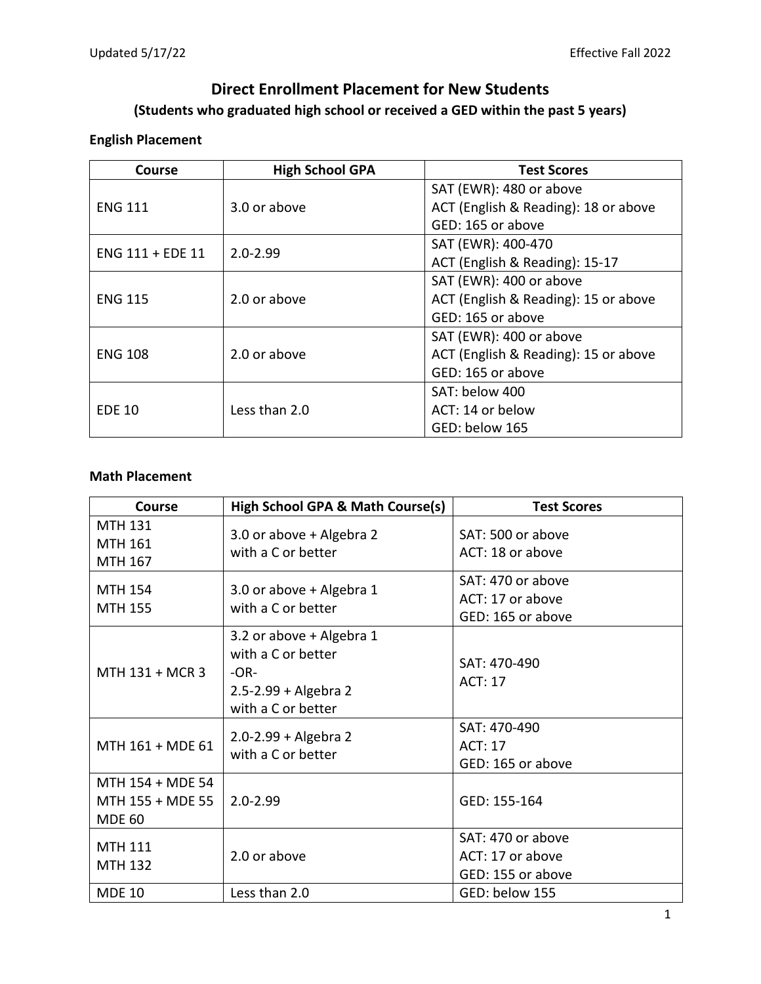# **Direct Enrollment Placement for New Students (Students who graduated high school or received a GED within the past 5 years)**

## **English Placement**

| Course           | <b>High School GPA</b> | <b>Test Scores</b>                   |
|------------------|------------------------|--------------------------------------|
|                  |                        | SAT (EWR): 480 or above              |
| <b>ENG 111</b>   | 3.0 or above           | ACT (English & Reading): 18 or above |
|                  |                        | GED: 165 or above                    |
| ENG 111 + EDE 11 | $2.0 - 2.99$           | SAT (EWR): 400-470                   |
|                  |                        | ACT (English & Reading): 15-17       |
|                  | 2.0 or above           | SAT (EWR): 400 or above              |
| <b>ENG 115</b>   |                        | ACT (English & Reading): 15 or above |
|                  |                        | GED: 165 or above                    |
| <b>ENG 108</b>   | 2.0 or above           | SAT (EWR): 400 or above              |
|                  |                        | ACT (English & Reading): 15 or above |
|                  |                        | GED: 165 or above                    |
| <b>EDE 10</b>    | Less than 2.0          | SAT: below 400                       |
|                  |                        | ACT: 14 or below                     |
|                  |                        | GED: below 165                       |

## **Math Placement**

| Course                                                | High School GPA & Math Course(s)                                                                       | <b>Test Scores</b>                                         |
|-------------------------------------------------------|--------------------------------------------------------------------------------------------------------|------------------------------------------------------------|
| <b>MTH 131</b><br><b>MTH 161</b><br>MTH 167           | 3.0 or above + Algebra 2<br>with a C or better                                                         | SAT: 500 or above<br>ACT: 18 or above                      |
| <b>MTH 154</b><br><b>MTH 155</b>                      | 3.0 or above + Algebra 1<br>with a C or better                                                         | SAT: 470 or above<br>ACT: 17 or above<br>GED: 165 or above |
| MTH 131 + MCR 3                                       | 3.2 or above + Algebra 1<br>with a C or better<br>$-OR-$<br>2.5-2.99 + Algebra 2<br>with a C or better | SAT: 470-490<br><b>ACT: 17</b>                             |
| MTH 161 + MDE 61                                      | $2.0 - 2.99 +$ Algebra 2<br>with a C or better                                                         | SAT: 470-490<br><b>ACT: 17</b><br>GED: 165 or above        |
| MTH 154 + MDE 54<br>MTH 155 + MDE 55<br><b>MDE 60</b> | $2.0 - 2.99$                                                                                           | GED: 155-164                                               |
| <b>MTH 111</b><br><b>MTH 132</b>                      | 2.0 or above                                                                                           | SAT: 470 or above<br>ACT: 17 or above<br>GED: 155 or above |
| <b>MDE 10</b>                                         | Less than 2.0                                                                                          | GED: below 155                                             |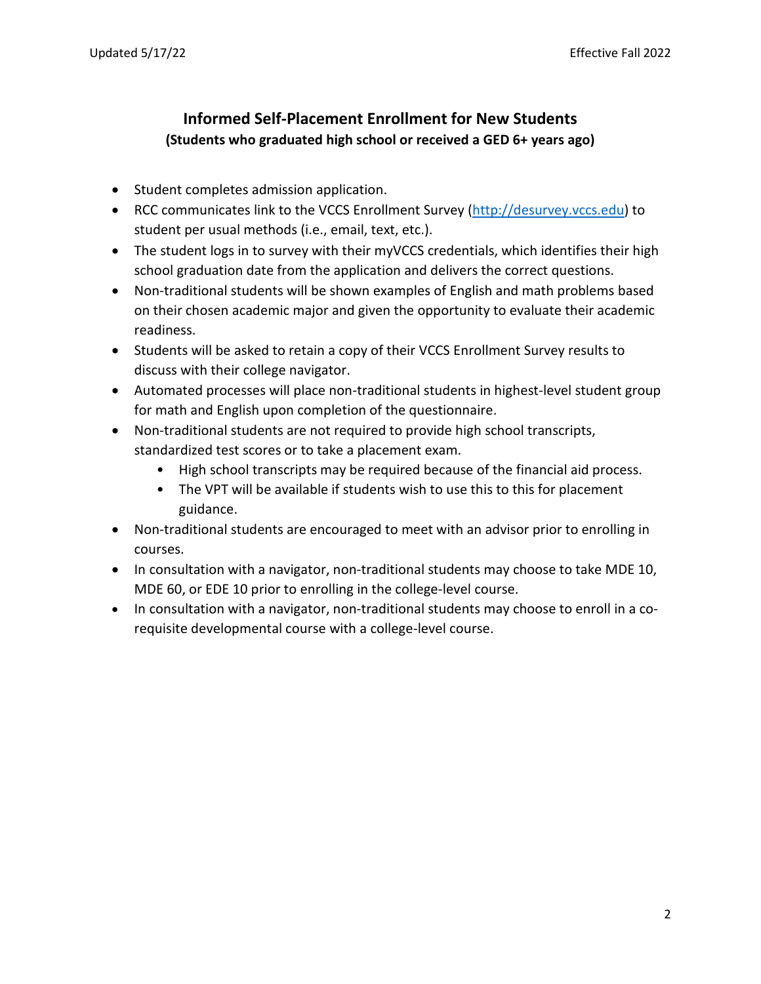# **Informed Self-Placement Enrollment for New Students (Students who graduated high school or received a GED 6+ years ago)**

- Student completes admission application.
- RCC communicates link to the VCCS Enrollment Survey [\(http://desurvey.vccs.edu\)](http://desurvey.vccs.edu/) to student per usual methods (i.e., email, text, etc.).
- The student logs in to survey with their myVCCS credentials, which identifies their high school graduation date from the application and delivers the correct questions.
- Non-traditional students will be shown examples of English and math problems based on their chosen academic major and given the opportunity to evaluate their academic readiness.
- Students will be asked to retain a copy of their VCCS Enrollment Survey results to discuss with their college navigator.
- Automated processes will place non-traditional students in highest-level student group for math and English upon completion of the questionnaire.
- Non-traditional students are not required to provide high school transcripts, standardized test scores or to take a placement exam.
	- High school transcripts may be required because of the financial aid process.
	- The VPT will be available if students wish to use this to this for placement guidance.
- Non-traditional students are encouraged to meet with an advisor prior to enrolling in courses.
- In consultation with a navigator, non-traditional students may choose to take MDE 10, MDE 60, or EDE 10 prior to enrolling in the college-level course.
- In consultation with a navigator, non-traditional students may choose to enroll in a corequisite developmental course with a college-level course.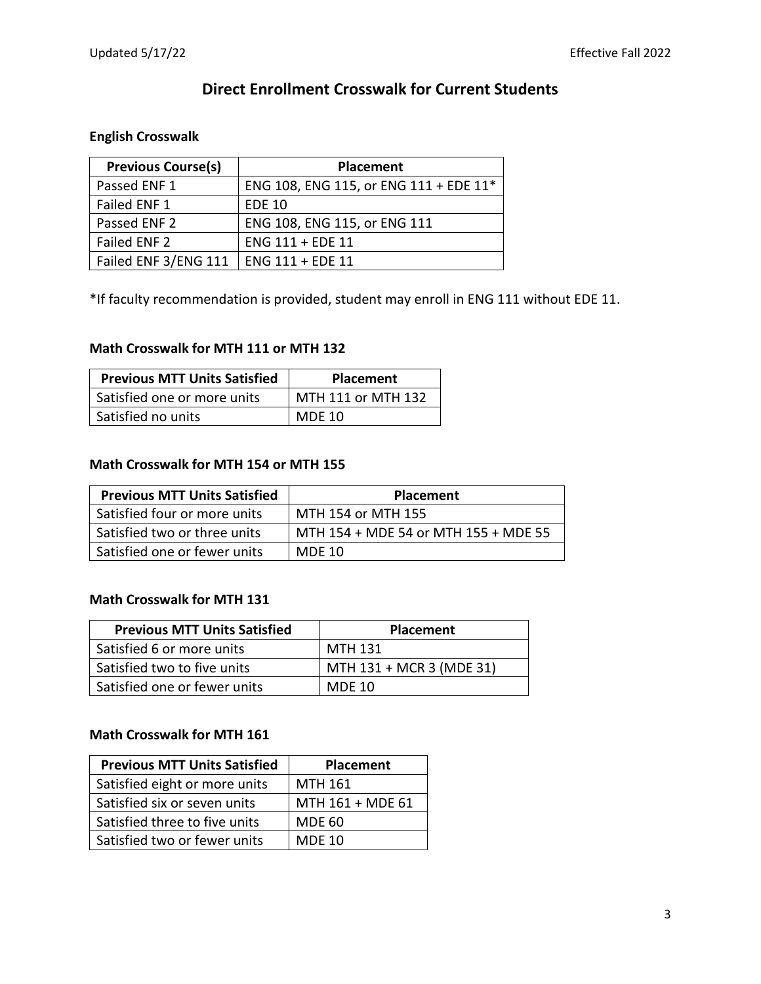# **Direct Enrollment Crosswalk for Current Students**

## **English Crosswalk**

| <b>Previous Course(s)</b> | <b>Placement</b>                       |
|---------------------------|----------------------------------------|
| Passed ENF 1              | ENG 108, ENG 115, or ENG 111 + EDE 11* |
| Failed ENF 1              | <b>EDE 10</b>                          |
| Passed ENF 2              | ENG 108, ENG 115, or ENG 111           |
| Failed ENF 2              | ENG 111 + EDE 11                       |
| Failed ENF 3/ENG 111      | ENG 111 + EDE 11                       |

\*If faculty recommendation is provided, student may enroll in ENG 111 without EDE 11.

#### **Math Crosswalk for MTH 111 or MTH 132**

| <b>Previous MTT Units Satisfied</b> | <b>Placement</b>   |
|-------------------------------------|--------------------|
| Satisfied one or more units         | MTH 111 or MTH 132 |
| Satisfied no units                  | <b>MDE 10</b>      |

#### **Math Crosswalk for MTH 154 or MTH 155**

| <b>Previous MTT Units Satisfied</b> | <b>Placement</b>                     |
|-------------------------------------|--------------------------------------|
| Satisfied four or more units        | MTH 154 or MTH 155                   |
| Satisfied two or three units        | MTH 154 + MDE 54 or MTH 155 + MDE 55 |
| Satisfied one or fewer units        | MDE 10                               |

#### **Math Crosswalk for MTH 131**

| <b>Previous MTT Units Satisfied</b> | <b>Placement</b>         |
|-------------------------------------|--------------------------|
| Satisfied 6 or more units           | MTH 131                  |
| Satisfied two to five units         | MTH 131 + MCR 3 (MDE 31) |
| Satisfied one or fewer units        | <b>MDE 10</b>            |

### **Math Crosswalk for MTH 161**

| <b>Previous MTT Units Satisfied</b> | Placement        |
|-------------------------------------|------------------|
| Satisfied eight or more units       | MTH 161          |
| Satisfied six or seven units        | MTH 161 + MDE 61 |
| Satisfied three to five units       | <b>MDE 60</b>    |
| Satisfied two or fewer units        | <b>MDE 10</b>    |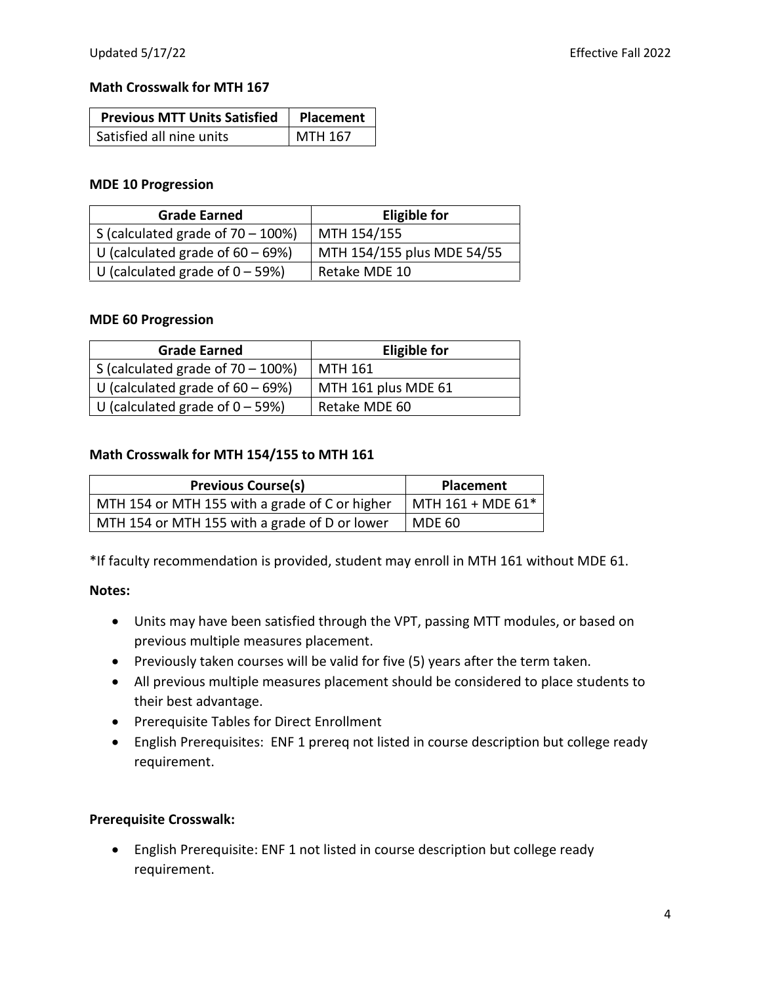#### **Math Crosswalk for MTH 167**

| <b>Previous MTT Units Satisfied</b> | Placement |
|-------------------------------------|-----------|
| Satisfied all nine units            | MTH 167   |

#### **MDE 10 Progression**

| <b>Grade Earned</b>                   | <b>Eligible for</b>        |
|---------------------------------------|----------------------------|
| S (calculated grade of $70 - 100\%$ ) | MTH 154/155                |
| U (calculated grade of $60 - 69\%$ )  | MTH 154/155 plus MDE 54/55 |
| U (calculated grade of $0 - 59\%$ )   | Retake MDE 10              |

#### **MDE 60 Progression**

| <b>Grade Earned</b>                       | <b>Eligible for</b> |
|-------------------------------------------|---------------------|
| $\vert$ S (calculated grade of 70 – 100%) | MTH 161             |
| U (calculated grade of $60 - 69\%$ )      | MTH 161 plus MDE 61 |
| U (calculated grade of $0 - 59%$ )        | Retake MDE 60       |

### **Math Crosswalk for MTH 154/155 to MTH 161**

| <b>Previous Course(s)</b>                      | <b>Placement</b>  |
|------------------------------------------------|-------------------|
| MTH 154 or MTH 155 with a grade of C or higher | MTH 161 + MDE 61* |
| MTH 154 or MTH 155 with a grade of D or lower  | <b>MDE 60</b>     |

\*If faculty recommendation is provided, student may enroll in MTH 161 without MDE 61.

#### **Notes:**

- Units may have been satisfied through the VPT, passing MTT modules, or based on previous multiple measures placement.
- Previously taken courses will be valid for five (5) years after the term taken.
- All previous multiple measures placement should be considered to place students to their best advantage.
- Prerequisite Tables for Direct Enrollment
- English Prerequisites: ENF 1 prereq not listed in course description but college ready requirement.

### **Prerequisite Crosswalk:**

• English Prerequisite: ENF 1 not listed in course description but college ready requirement.